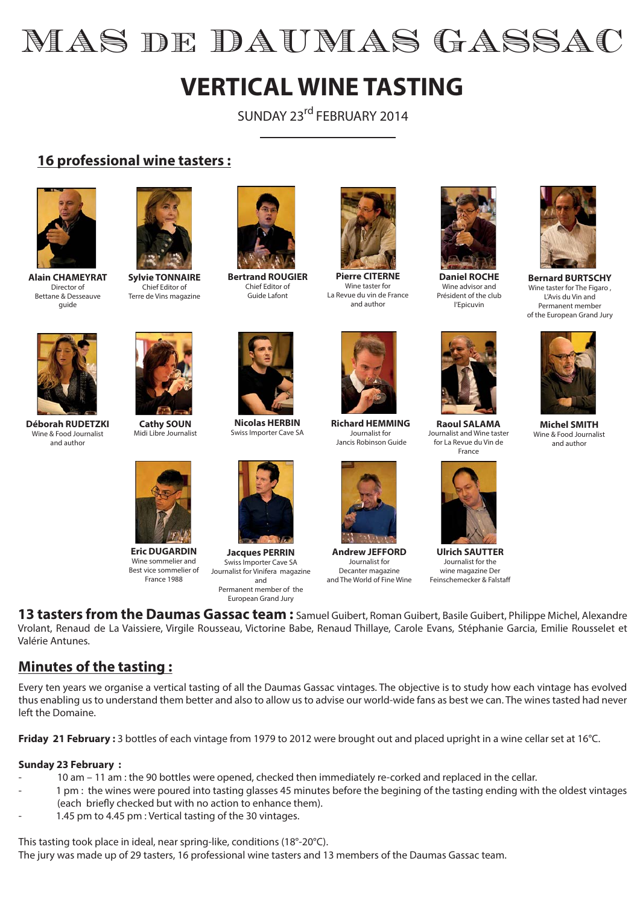# MAS de DAUMAS GASSAC

## **VERTICAL WINE TASTING**

SUNDAY 23<sup>rd</sup> FEBRUARY 2014

#### **16 professional wine tasters :**



**Alain CHAMEYRAT** Director of Bettane & Desseauve guide



**Sylvie TONNAIRE** Chief Editor of Terre de Vins magazine



**Bertrand ROUGIER** Chief Editor of Guide Lafont



**Pierre CITERNE** Wine taster for La Revue du vin de France and author



**Daniel ROCHE** Wine advisor and Président of the club l'Epicuvin



**Bernard BURTSCHY** Wine taster for The Figaro, L'Avis du Vin and Permanent member of the European Grand Jury



**Déborah RUDETZKI** Wine & Food Journalist and author



**Cathy SOUN** Midi Libre Journalist



**Eric DUGARDIN** Wine sommelier and Best vice sommelier of France 1988



**Nicolas HERBIN** Swiss Importer Cave SA



**Jacques PERRIN** Swiss Importer Cave SA Journalist for Vinifera magazine and Permanent member of the European Grand Jury



**Richard HEMMING** Journalist for Jancis Robinson Guide



**Andrew JEFFORD** Journalist for Decanter magazine and The World of Fine Wine



**Raoul SALAMA** Journalist and Wine taster for La Revue du Vin de France



**Ulrich SAUTTER** Journalist for the wine magazine Der Feinschemecker & Falstaff



**Michel SMITH** Wine & Food Journalist and author

**13 tasters from the Daumas Gassac team :** Samuel Guibert, Roman Guibert, Basile Guibert, Philippe Michel, Alexandre Vrolant, Renaud de La Vaissiere, Virgile Rousseau, Victorine Babe, Renaud Thillaye, Carole Evans, Stéphanie Garcia, Emilie Rousselet et Valérie Antunes.

#### **Minutes of the tasting :**

Every ten years we organise a vertical tasting of all the Daumas Gassac vintages. The objective is to study how each vintage has evolved thus enabling us to understand them better and also to allow us to advise our world-wide fans as best we can. The wines tasted had never left the Domaine.

**Friday 21 February :** 3 bottles of each vintage from 1979 to 2012 were brought out and placed upright in a wine cellar set at 16°C.

#### **Sunday 23 February :**

- 10 am 11 am : the 90 bottles were opened, checked then immediately re-corked and replaced in the cellar.
- 1 pm : the wines were poured into tasting glasses 45 minutes before the begining of the tasting ending with the oldest vintages (each briefly checked but with no action to enhance them).
- 1.45 pm to 4.45 pm : Vertical tasting of the 30 vintages.

This tasting took place in ideal, near spring-like, conditions (18°-20°C).

The jury was made up of 29 tasters, 16 professional wine tasters and 13 members of the Daumas Gassac team.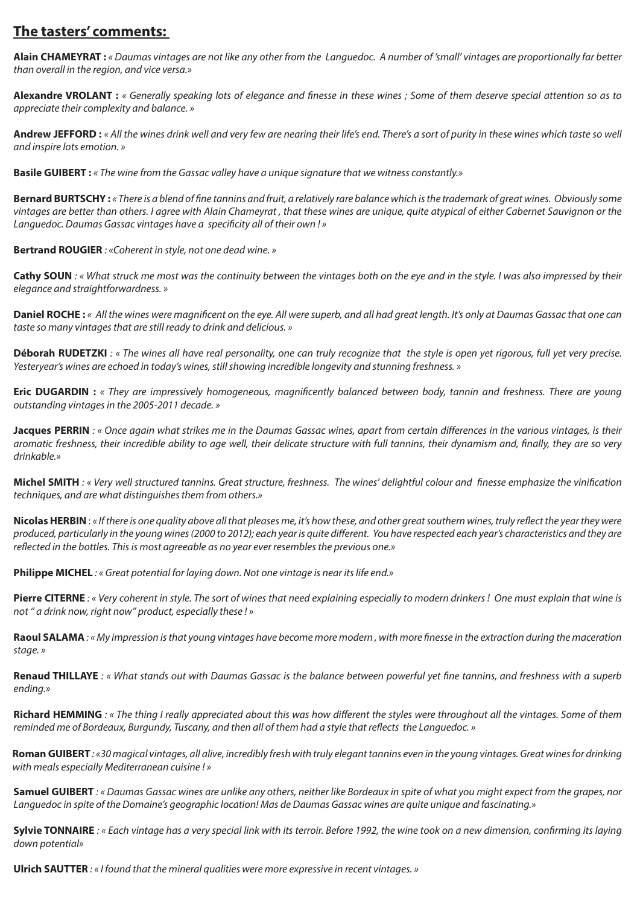#### **The tasters' comments:**

**Alain CHAMEYRAT :** « Daumas vintages are not like any other from the Languedoc. A number of 'small' vintages are proportionally far better than overall in the region, and vice versa.»

**Alexandre VROLANT :** « Generally speaking lots of elegance and finesse in these wines ; Some of them deserve special attention so as to appreciate their complexity and balance. »

**Andrew JEFFORD :** « All the wines drink well and very few are nearing their life's end. There's a sort of purity in these wines which taste so well and inspire lots emotion. »

**Basile GUIBERT :** « The wine from the Gassac valley have a unique signature that we witness constantly.»

**Bernard BURTSCHY :** « There is a blend of fine tannins and fruit, a relatively rare balance which is the trademark of great wines. Obviously some vintages are better than others. I agree with Alain Chameyrat , that these wines are unique, quite atypical of either Cabernet Sauvignon or the Languedoc. Daumas Gassac vintages have a specificity all of their own ! »

**Bertrand ROUGIER** : «Coherent in style, not one dead wine. »

**Cathy SOUN** : « What struck me most was the continuity between the vintages both on the eye and in the style. I was also impressed by their elegance and straightforwardness. »

**Daniel ROCHE :** « All the wines were magnificent on the eye. All were superb, and all had great length. It's only at Daumas Gassac that one can taste so many vintages that are still ready to drink and delicious. »

Déborah RUDETZKI : « The wines all have real personality, one can truly recognize that the style is open yet rigorous, full yet very precise. Yesteryear's wines are echoed in today's wines, still showing incredible longevity and stunning freshness. »

**Eric DUGARDIN :** « They are impressively homogeneous, magnificently balanced between body, tannin and freshness. There are young outstanding vintages in the 2005-2011 decade. »

**Jacques PERRIN**: « Once again what strikes me in the Daumas Gassac wines, apart from certain differences in the various vintages, is their aromatic freshness, their incredible ability to age well, their delicate structure with full tannins, their dynamism and, finally, they are so very drinkable.»

**Michel SMITH** : « Very well structured tannins. Great structure, freshness. The wines' delightful colour and finesse emphasize the vinification techniques, and are what distinguishes them from others.»

**Nicolas HERBIN** : « If there is one quality above all that pleases me, it's how these, and other great southern wines, truly reflect the year they were produced, particularly in the young wines (2000 to 2012); each year is quite different. You have respected each year's characteristics and they are reflected in the bottles. This is most agreeable as no year ever resembles the previous one.»

**Philippe MICHEL**: « Great potential for laying down. Not one vintage is near its life end.»

Pierre CITERNE : « Very coherent in style. The sort of wines that need explaining especially to modern drinkers ! One must explain that wine is not '' a drink now, right now'' product, especially these ! »

Raoul SALAMA: «My impression is that young vintages have become more modern, with more finesse in the extraction during the maceration stage. »

Renaud THILLAYE : « What stands out with Daumas Gassac is the balance between powerful yet fine tannins, and freshness with a superb ending.»

**Richard HEMMING**: « The thing I really appreciated about this was how different the styles were throughout all the vintages. Some of them reminded me of Bordeaux, Burgundy, Tuscany, and then all of them had a style that reflects the Languedoc. »

Roman GUIBERT: «30 magical vintages, all alive, incredibly fresh with truly elegant tannins even in the young vintages. Great wines for drinking with meals especially Mediterranean cuisine ! »

**Samuel GUIBERT** : « Daumas Gassac wines are unlike any others, neither like Bordeaux in spite of what you might expect from the grapes, nor Languedoc in spite of the Domaine's geographic location! Mas de Daumas Gassac wines are quite unique and fascinating.»

**Sylvie TONNAIRE** : « Each vintage has a very special link with its terroir. Before 1992, the wine took on a new dimension, confirming its laying down potential»

**Ulrich SAUTTER** : « I found that the mineral qualities were more expressive in recent vintages. »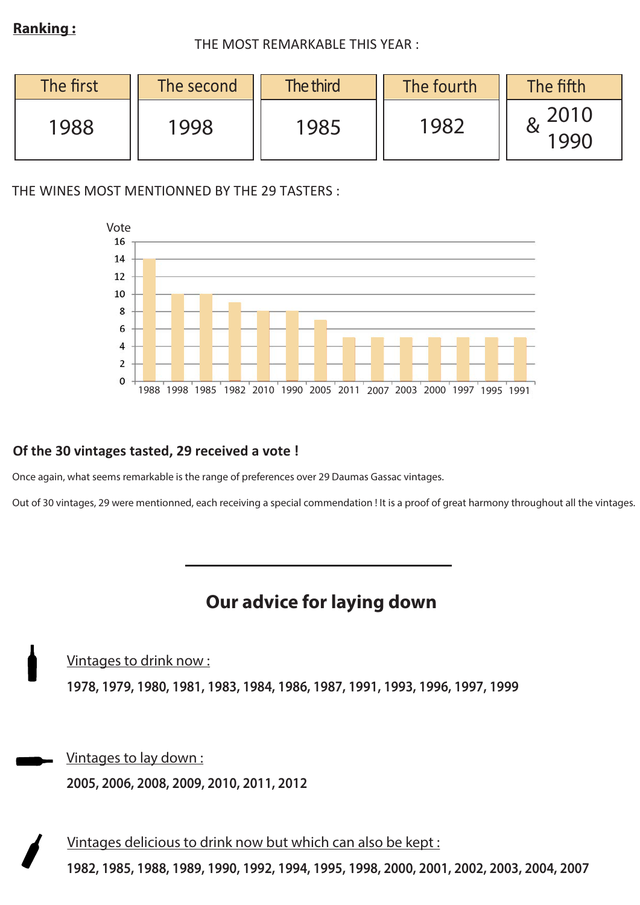#### **Ranking :**

#### THE MOST REMARKABLE THIS YEAR :

| The first | The second | The third | The fourth | The fifth    |
|-----------|------------|-----------|------------|--------------|
| 1988      | 1998       | 1985      | 1982       | 2010<br>1990 |

THE WINES MOST MENTIONNED BY THE 29 TASTERS :



#### **Of the 30 vintages tasted, 29 received a vote !**

Once again, what seems remarkable is the range of preferences over 29 Daumas Gassac vintages.

Out of 30 vintages, 29 were mentionned, each receiving a special commendation ! It is a proof of great harmony throughout all the vintages.

### **Our advice for laying down**

Vintages to drink now : **1978, 1979, 1980, 1981, 1983, 1984, 1986, 1987, 1991, 1993, 1996, 1997, 1999**

Vintages to lay down : **2005, 2006, 2008, 2009, 2010, 2011, 2012**

Vintages delicious to drink now but which can also be kept : **1982, 1985, 1988, 1989, 1990, 1992, 1994, 1995, 1998, 2000, 2001, 2002, 2003, 2004, 2007**